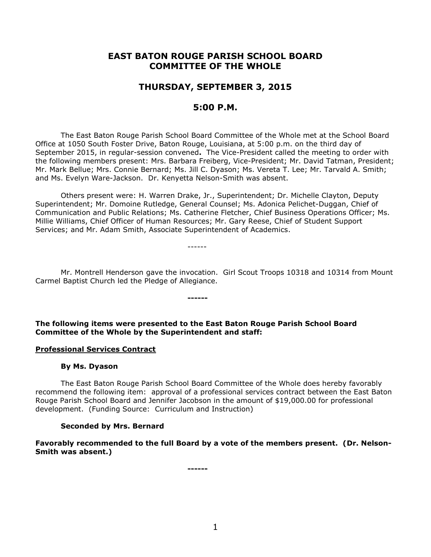# **EAST BATON ROUGE PARISH SCHOOL BOARD COMMITTEE OF THE WHOLE**

# **THURSDAY, SEPTEMBER 3, 2015**

# **5:00 P.M.**

The East Baton Rouge Parish School Board Committee of the Whole met at the School Board Office at 1050 South Foster Drive, Baton Rouge, Louisiana, at 5:00 p.m. on the third day of September 2015, in regular-session convened**.** The Vice-President called the meeting to order with the following members present: Mrs. Barbara Freiberg, Vice-President; Mr. David Tatman, President; Mr. Mark Bellue; Mrs. Connie Bernard; Ms. Jill C. Dyason; Ms. Vereta T. Lee; Mr. Tarvald A. Smith; and Ms. Evelyn Ware-Jackson. Dr. Kenyetta Nelson-Smith was absent.

Others present were: H. Warren Drake, Jr., Superintendent; Dr. Michelle Clayton, Deputy Superintendent; Mr. Domoine Rutledge, General Counsel; Ms. Adonica Pelichet-Duggan, Chief of Communication and Public Relations; Ms. Catherine Fletcher, Chief Business Operations Officer; Ms. Millie Williams, Chief Officer of Human Resources; Mr. Gary Reese, Chief of Student Support Services; and Mr. Adam Smith, Associate Superintendent of Academics.

------

Mr. Montrell Henderson gave the invocation. Girl Scout Troops 10318 and 10314 from Mount Carmel Baptist Church led the Pledge of Allegiance.

**The following items were presented to the East Baton Rouge Parish School Board Committee of the Whole by the Superintendent and staff:**

**------**

#### **Professional Services Contract**

### **By Ms. Dyason**

The East Baton Rouge Parish School Board Committee of the Whole does hereby favorably recommend the following item: approval of a professional services contract between the East Baton Rouge Parish School Board and Jennifer Jacobson in the amount of \$19,000.00 for professional development. (Funding Source: Curriculum and Instruction)

#### **Seconded by Mrs. Bernard**

**Favorably recommended to the full Board by a vote of the members present. (Dr. Nelson-Smith was absent.)**

**------**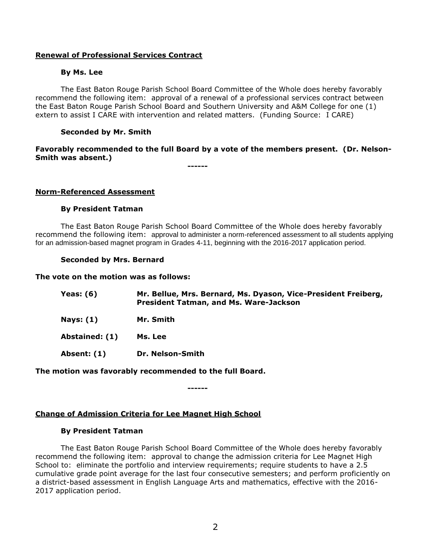## **Renewal of Professional Services Contract**

### **By Ms. Lee**

The East Baton Rouge Parish School Board Committee of the Whole does hereby favorably recommend the following item: approval of a renewal of a professional services contract between the East Baton Rouge Parish School Board and Southern University and A&M College for one (1) extern to assist I CARE with intervention and related matters. (Funding Source: I CARE)

### **Seconded by Mr. Smith**

# **Favorably recommended to the full Board by a vote of the members present. (Dr. Nelson-Smith was absent.)**

**------**

#### **Norm-Referenced Assessment**

### **By President Tatman**

The East Baton Rouge Parish School Board Committee of the Whole does hereby favorably recommend the following item: approval to administer a norm-referenced assessment to all students applying for an admission-based magnet program in Grades 4-11, beginning with the 2016-2017 application period.

#### **Seconded by Mrs. Bernard**

### **The vote on the motion was as follows:**

| Yeas: $(6)$    | Mr. Bellue, Mrs. Bernard, Ms. Dyason, Vice-President Freiberg,<br><b>President Tatman, and Ms. Ware-Jackson</b> |
|----------------|-----------------------------------------------------------------------------------------------------------------|
| Nays: $(1)$    | Mr. Smith                                                                                                       |
| Abstained: (1) | Ms. Lee                                                                                                         |
| Absent: (1)    | Dr. Nelson-Smith                                                                                                |

## **The motion was favorably recommended to the full Board.**

**------**

# **Change of Admission Criteria for Lee Magnet High School**

#### **By President Tatman**

The East Baton Rouge Parish School Board Committee of the Whole does hereby favorably recommend the following item: approval to change the admission criteria for Lee Magnet High School to: eliminate the portfolio and interview requirements; require students to have a 2.5 cumulative grade point average for the last four consecutive semesters; and perform proficiently on a district-based assessment in English Language Arts and mathematics, effective with the 2016- 2017 application period.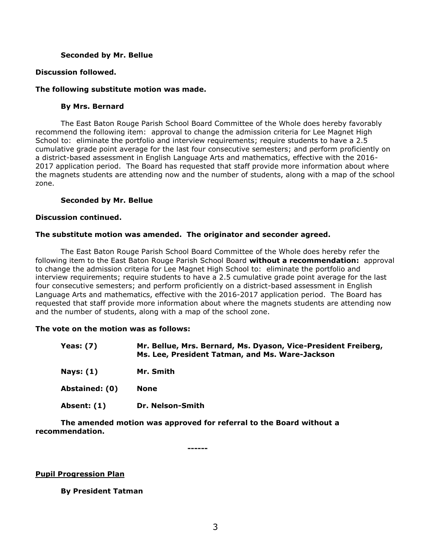### **Seconded by Mr. Bellue**

### **Discussion followed.**

### **The following substitute motion was made.**

## **By Mrs. Bernard**

The East Baton Rouge Parish School Board Committee of the Whole does hereby favorably recommend the following item: approval to change the admission criteria for Lee Magnet High School to: eliminate the portfolio and interview requirements; require students to have a 2.5 cumulative grade point average for the last four consecutive semesters; and perform proficiently on a district-based assessment in English Language Arts and mathematics, effective with the 2016- 2017 application period. The Board has requested that staff provide more information about where the magnets students are attending now and the number of students, along with a map of the school zone.

### **Seconded by Mr. Bellue**

#### **Discussion continued.**

### **The substitute motion was amended. The originator and seconder agreed.**

The East Baton Rouge Parish School Board Committee of the Whole does hereby refer the following item to the East Baton Rouge Parish School Board **without a recommendation:** approval to change the admission criteria for Lee Magnet High School to: eliminate the portfolio and interview requirements; require students to have a 2.5 cumulative grade point average for the last four consecutive semesters; and perform proficiently on a district-based assessment in English Language Arts and mathematics, effective with the 2016-2017 application period. The Board has requested that staff provide more information about where the magnets students are attending now and the number of students, along with a map of the school zone.

### **The vote on the motion was as follows:**

| <b>Yeas: (7)</b> | Mr. Bellue, Mrs. Bernard, Ms. Dyason, Vice-President Freiberg,<br>Ms. Lee, President Tatman, and Ms. Ware-Jackson |
|------------------|-------------------------------------------------------------------------------------------------------------------|
| <b>Nays: (1)</b> | Mr. Smith                                                                                                         |
| Abstained: (0)   | <b>None</b>                                                                                                       |
| Absent: (1)      | Dr. Nelson-Smith                                                                                                  |

**The amended motion was approved for referral to the Board without a recommendation.**

**------**

## **Pupil Progression Plan**

## **By President Tatman**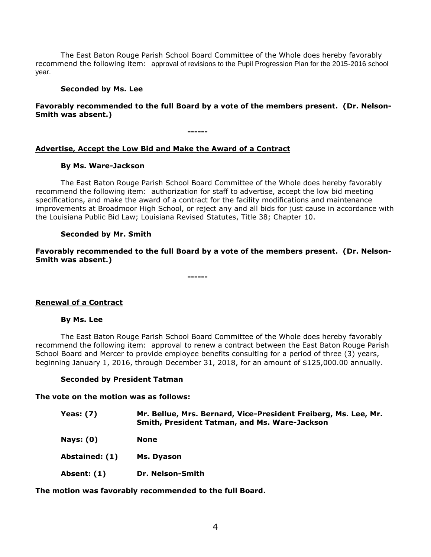The East Baton Rouge Parish School Board Committee of the Whole does hereby favorably recommend the following item: approval of revisions to the Pupil Progression Plan for the 2015-2016 school year.

### **Seconded by Ms. Lee**

## **Favorably recommended to the full Board by a vote of the members present. (Dr. Nelson-Smith was absent.)**

**------**

# **Advertise, Accept the Low Bid and Make the Award of a Contract**

## **By Ms. Ware-Jackson**

The East Baton Rouge Parish School Board Committee of the Whole does hereby favorably recommend the following item: authorization for staff to advertise, accept the low bid meeting specifications, and make the award of a contract for the facility modifications and maintenance improvements at Broadmoor High School, or reject any and all bids for just cause in accordance with the Louisiana Public Bid Law; Louisiana Revised Statutes, Title 38; Chapter 10.

## **Seconded by Mr. Smith**

**Favorably recommended to the full Board by a vote of the members present. (Dr. Nelson-Smith was absent.)**

**------**

## **Renewal of a Contract**

## **By Ms. Lee**

The East Baton Rouge Parish School Board Committee of the Whole does hereby favorably recommend the following item: approval to renew a contract between the East Baton Rouge Parish School Board and Mercer to provide employee benefits consulting for a period of three (3) years, beginning January 1, 2016, through December 31, 2018, for an amount of \$125,000.00 annually.

## **Seconded by President Tatman**

**The vote on the motion was as follows:**

| <b>Yeas: (7)</b> | Mr. Bellue, Mrs. Bernard, Vice-President Freiberg, Ms. Lee, Mr.<br>Smith, President Tatman, and Ms. Ware-Jackson |
|------------------|------------------------------------------------------------------------------------------------------------------|
| <b>Nays: (0)</b> | <b>None</b>                                                                                                      |
| Abstained: (1)   | Ms. Dyason                                                                                                       |
| Absent: (1)      | Dr. Nelson-Smith                                                                                                 |

**The motion was favorably recommended to the full Board.**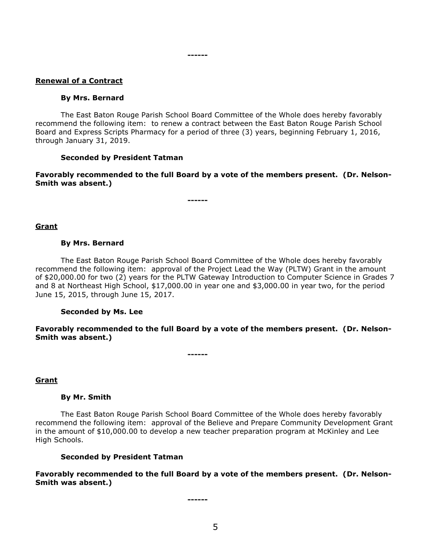### **Renewal of a Contract**

#### **By Mrs. Bernard**

The East Baton Rouge Parish School Board Committee of the Whole does hereby favorably recommend the following item: to renew a contract between the East Baton Rouge Parish School Board and Express Scripts Pharmacy for a period of three (3) years, beginning February 1, 2016, through January 31, 2019.

**------**

#### **Seconded by President Tatman**

**Favorably recommended to the full Board by a vote of the members present. (Dr. Nelson-Smith was absent.)**

**------**

#### **Grant**

#### **By Mrs. Bernard**

The East Baton Rouge Parish School Board Committee of the Whole does hereby favorably recommend the following item: approval of the Project Lead the Way (PLTW) Grant in the amount of \$20,000.00 for two (2) years for the PLTW Gateway Introduction to Computer Science in Grades 7 and 8 at Northeast High School, \$17,000.00 in year one and \$3,000.00 in year two, for the period June 15, 2015, through June 15, 2017.

#### **Seconded by Ms. Lee**

**Favorably recommended to the full Board by a vote of the members present. (Dr. Nelson-Smith was absent.)**

**------**

#### **Grant**

#### **By Mr. Smith**

The East Baton Rouge Parish School Board Committee of the Whole does hereby favorably recommend the following item: approval of the Believe and Prepare Community Development Grant in the amount of \$10,000.00 to develop a new teacher preparation program at McKinley and Lee High Schools.

#### **Seconded by President Tatman**

**Favorably recommended to the full Board by a vote of the members present. (Dr. Nelson-Smith was absent.)**

**------**